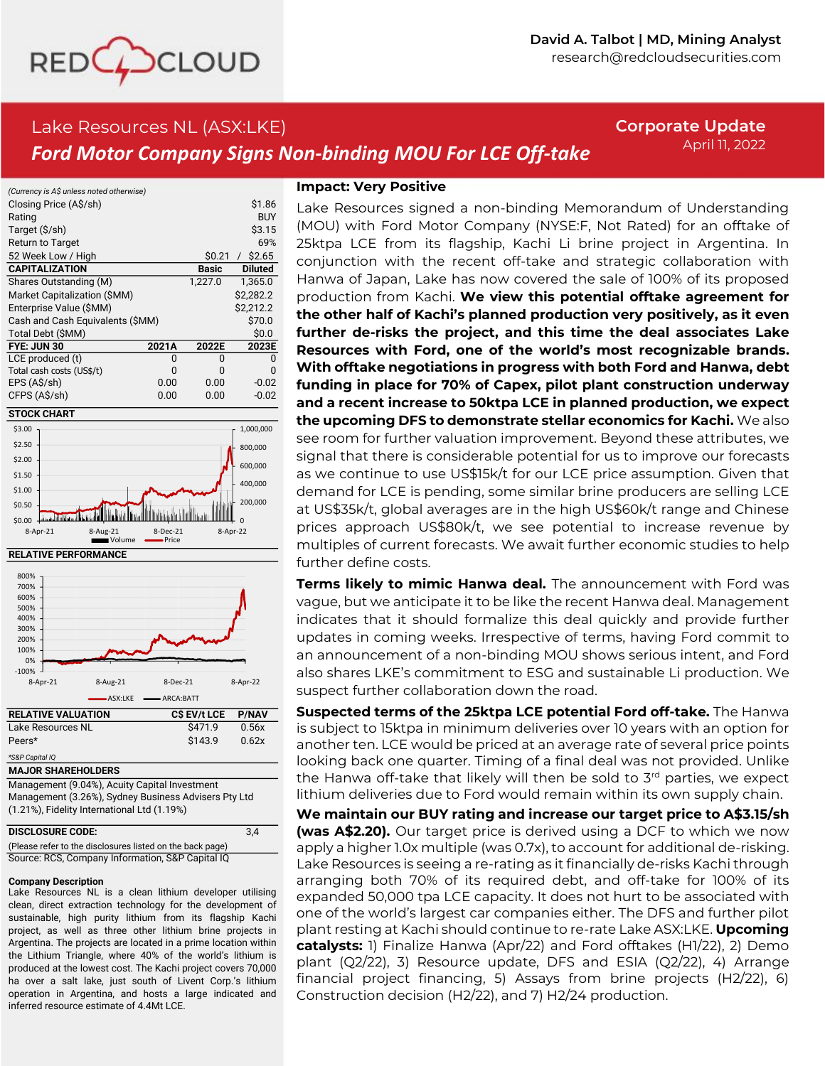

# Lake Resources NL (ASX:LKE) *Ford Motor Company Signs Non-binding MOU For LCE Off-take*

**Corporate Update** April 11, 2022

| (Currency is A\$ unless noted otherwise) |       |         |                |
|------------------------------------------|-------|---------|----------------|
| Closing Price (A\$/sh)                   |       |         | \$1.86         |
| Rating                                   |       |         | BUY            |
| Target (\$/sh)                           |       |         | \$3.15         |
| Return to Target                         |       |         | 69%            |
| 52 Week Low / High                       |       | \$0.21  | $/$ \$2.65     |
| <b>CAPITALIZATION</b>                    |       | Basic   | <b>Diluted</b> |
| Shares Outstanding (M)                   |       | 1,227.0 | 1,365.0        |
| Market Capitalization (\$MM)             |       |         | \$2.282.2      |
| Enterprise Value (\$MM)                  |       |         | \$2.212.2      |
| Cash and Cash Equivalents (\$MM)         |       |         | \$70.0         |
| Total Debt (\$MM)                        |       |         | \$0.0          |
| FYE: JUN 30                              | 2021A | 2022E   | 2023E          |
| LCE produced (t)                         | N     | O       | O              |
| Total cash costs (US\$/t)                | n     | n       | O              |
| EPS (A\$/sh)                             | 0.00  | 0.00    | $-0.02$        |
| CFPS (A\$/sh)                            | 0.00  | 0.00    | $-0.02$        |









| Lake Resources NL                                    | \$471.9 | 0.56x |  |
|------------------------------------------------------|---------|-------|--|
| Peers*                                               | \$143.9 | 0.62x |  |
| *S&P Capital IQ                                      |         |       |  |
| <b>MAJOR SHAREHOLDERS</b>                            |         |       |  |
| Management (9.04%), Acuity Capital Investment        |         |       |  |
| Management (3.26%), Sydney Business Advisers Pty Ltd |         |       |  |
| (1.21%), Fidelity International Ltd (1.19%)          |         |       |  |

| <b>DISCLOSURE CODE:</b>                                   | 3.4 |
|-----------------------------------------------------------|-----|
| (Please refer to the disclosures listed on the back page) |     |
| Source: RCS, Company Information, S&P Capital IQ          |     |

#### **Company Description**

Lake Resources NL is <sup>a</sup> clean lithium developer utilising clean, direct extraction technology for the development of sustainable, high purity lithium from its flagship Kachi project, as well as three other lithium brine projects in Argentina. The projects are located in <sup>a</sup> prime location within the Lithium Triangle, where 40% of the world's lithium is produced at the lowest cost. The Kachi project covers 70,000 ha over <sup>a</sup> salt lake, just south of Livent Corp.'s lithium operation in Argentina, and hosts <sup>a</sup> large indicated and inferred resource estimate of 4.4Mt LCE.

# **Impact: Very Positive**

Lake Resources signed a non-binding Memorandum of Understanding (MOU) with Ford Motor Company (NYSE:F, Not Rated) for an offtake of 25ktpa LCE from its flagship, Kachi Li brine project in Argentina. In conjunction with the recent off-take and strategic collaboration with Hanwa of Japan, Lake has now covered the sale of 100% of its proposed production from Kachi. **We view this potential offtake agreement for the other half of Kachi's planned production very positively, as it even further de-risks the project, and this time the deal associates Lake Resources with Ford, one of the world's most recognizable brands. With offtake negotiations in progress with both Ford and Hanwa, debt funding in place for 70% of Capex, pilot plant construction underway and a recent increase to 50ktpa LCE in planned production, we expect the upcoming DFS to demonstrate stellar economics for Kachi.** We also see room for further valuation improvement. Beyond these attributes, we signal that there is considerable potential for us to improve our forecasts as we continue to use US\$15k/t for our LCE price assumption. Given that demand for LCE is pending, some similar brine producers are selling LCE at US\$35k/t, global averages are in the high US\$60k/t range and Chinese prices approach US\$80k/t, we see potential to increase revenue by multiples of current forecasts. We await further economic studies to help further define costs.

**Terms likely to mimic Hanwa deal.** The announcement with Ford was vague, but we anticipate it to be like the recent Hanwa deal. Management indicates that it should formalize this deal quickly and provide further updates in coming weeks. Irrespective of terms, having Ford commit to an announcement of a non-binding MOU shows serious intent, and Ford also shares LKE's commitment to ESG and sustainable Li production. We suspect further collaboration down the road.

**Suspected terms of the 25ktpa LCE potential Ford off-take.** The Hanwa is subject to 15ktpa in minimum deliveries over 10 years with an option for another ten. LCE would be priced at an average rate of several price points looking back one quarter. Timing of a final deal was not provided. Unlike the Hanwa off-take that likely will then be sold to 3rd parties, we expect lithium deliveries due to Ford would remain within its own supply chain.

**We maintain our BUY rating and increase our target price to A\$3.15/sh (was A\$2.20).** Our target price is derived using a DCF to which we now apply a higher 1.0x multiple (was 0.7x), to account for additional de-risking. Lake Resources is seeing a re-rating as it financially de-risks Kachi through arranging both 70% of its required debt, and off-take for 100% of its expanded 50,000 tpa LCE capacity. It does not hurt to be associated with one of the world's largest car companies either. The DFS and further pilot plant resting at Kachi should continue to re-rate Lake ASX:LKE. **Upcoming catalysts:** 1) Finalize Hanwa (Apr/22) and Ford offtakes (H1/22), 2) Demo plant (Q2/22), 3) Resource update, DFS and ESIA (Q2/22), 4) Arrange financial project financing, 5) Assays from brine projects (H2/22), 6) Construction decision (H2/22), and 7) H2/24 production.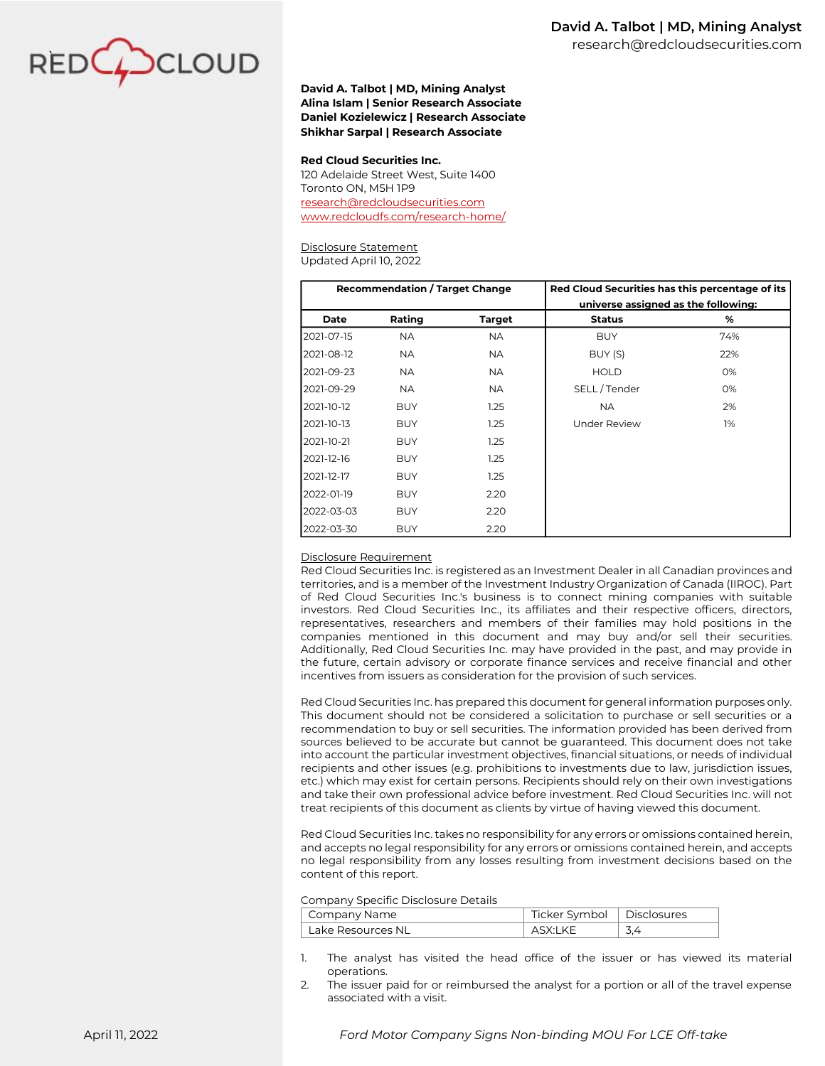

## **David A. Talbot | MD, Mining Analyst Alina Islam | Senior Research Associate Daniel Kozielewicz | Research Associate Shikhar Sarpal | Research Associate**

#### **Red Cloud Securities Inc.**

120 Adelaide Street West, Suite 1400 Toronto ON, M5H 1P9 [research@redcloudsecurities.com](mailto:research@redcloudsecurities.com) [www.redcloudfs.com/research-home/](https://www.redcloudfs.com/research-home/)

## Disclosure Statement

Updated April 10, 2022

| <b>Recommendation / Target Change</b> |            | Red Cloud Securities has this percentage of its |                     |                                     |  |  |
|---------------------------------------|------------|-------------------------------------------------|---------------------|-------------------------------------|--|--|
|                                       |            |                                                 |                     | universe assigned as the following: |  |  |
| Date                                  | Rating     | <b>Target</b>                                   | <b>Status</b>       | %                                   |  |  |
| 2021-07-15                            | NA.        | NA.                                             | <b>BUY</b>          | 74%                                 |  |  |
| 2021-08-12                            | <b>NA</b>  | <b>NA</b>                                       | BUY (S)             | 22%                                 |  |  |
| 2021-09-23                            | NA.        | NA.                                             | <b>HOLD</b>         | 0%                                  |  |  |
| 2021-09-29                            | NA.        | NA.                                             | SELL/Tender         | 0%                                  |  |  |
| 2021-10-12                            | <b>BUY</b> | 1.25                                            | <b>NA</b>           | 2%                                  |  |  |
| 12021-10-13                           | <b>BUY</b> | 1.25                                            | <b>Under Review</b> | 1%                                  |  |  |
| 2021-10-21                            | <b>BUY</b> | 1.25                                            |                     |                                     |  |  |
| 2021-12-16                            | <b>BUY</b> | 1.25                                            |                     |                                     |  |  |
| 2021-12-17                            | <b>BUY</b> | 1.25                                            |                     |                                     |  |  |
| 2022-01-19                            | <b>BUY</b> | 2.20                                            |                     |                                     |  |  |
| 2022-03-03                            | <b>BUY</b> | 2.20                                            |                     |                                     |  |  |
| 2022-03-30                            | <b>BUY</b> | 2.20                                            |                     |                                     |  |  |

#### Disclosure Requirement

Red Cloud Securities Inc. is registered as an Investment Dealer in all Canadian provinces and territories, and is a member of the Investment Industry Organization of Canada (IIROC). Part of Red Cloud Securities Inc.'s business is to connect mining companies with suitable investors. Red Cloud Securities Inc., its affiliates and their respective officers, directors, representatives, researchers and members of their families may hold positions in the companies mentioned in this document and may buy and/or sell their securities. Additionally, Red Cloud Securities Inc. may have provided in the past, and may provide in the future, certain advisory or corporate finance services and receive financial and other incentives from issuers as consideration for the provision of such services.

Red Cloud Securities Inc. has prepared this document for general information purposes only. This document should not be considered a solicitation to purchase or sell securities or a recommendation to buy or sell securities. The information provided has been derived from sources believed to be accurate but cannot be guaranteed. This document does not take into account the particular investment objectives, financial situations, or needs of individual recipients and other issues (e.g. prohibitions to investments due to law, jurisdiction issues, etc.) which may exist for certain persons. Recipients should rely on their own investigations and take their own professional advice before investment. Red Cloud Securities Inc. will not treat recipients of this document as clients by virtue of having viewed this document.

Red Cloud Securities Inc. takes no responsibility for any errors or omissions contained herein, and accepts no legal responsibility for any errors or omissions contained herein, and accepts no legal responsibility from any losses resulting from investment decisions based on the content of this report.

#### Company Specific Disclosure Details

| Company Name |                   | Ticker Symbol   Disclosures |  |  |
|--------------|-------------------|-----------------------------|--|--|
|              | Lake Resources NL | ASX:LKE                     |  |  |

- 1. The analyst has visited the head office of the issuer or has viewed its material operations.
- 2. The issuer paid for or reimbursed the analyst for a portion or all of the travel expense associated with a visit.